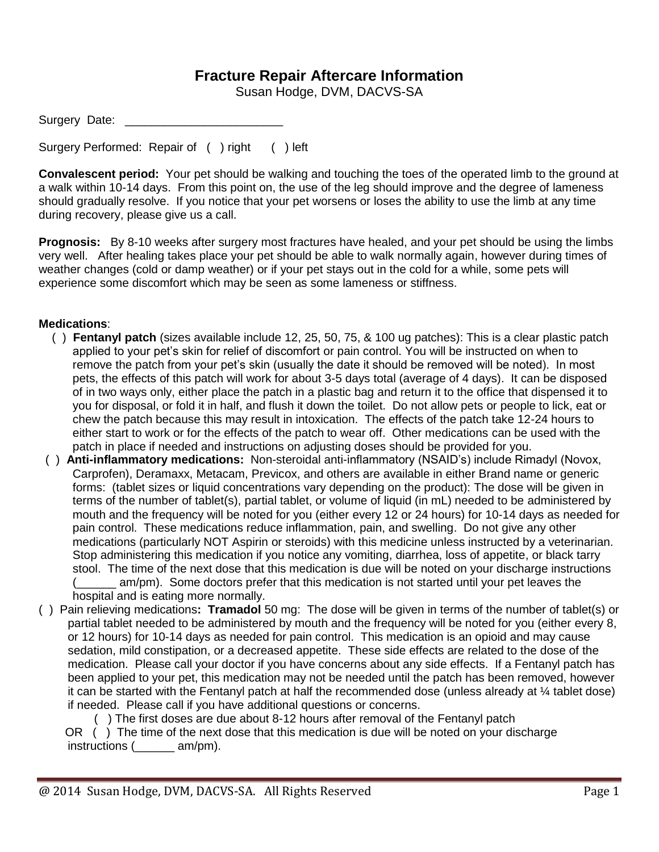## **Fracture Repair Aftercare Information**

Susan Hodge, DVM, DACVS-SA

| Surgery Date: |  |  |  |
|---------------|--|--|--|
|---------------|--|--|--|

Surgery Performed: Repair of ( ) right ( ) left

**Convalescent period:** Your pet should be walking and touching the toes of the operated limb to the ground at a walk within 10-14 days. From this point on, the use of the leg should improve and the degree of lameness should gradually resolve. If you notice that your pet worsens or loses the ability to use the limb at any time during recovery, please give us a call.

**Prognosis:** By 8-10 weeks after surgery most fractures have healed, and your pet should be using the limbs very well. After healing takes place your pet should be able to walk normally again, however during times of weather changes (cold or damp weather) or if your pet stays out in the cold for a while, some pets will experience some discomfort which may be seen as some lameness or stiffness.

## **Medications**:

- ( ) **Fentanyl patch** (sizes available include 12, 25, 50, 75, & 100 ug patches): This is a clear plastic patch applied to your pet's skin for relief of discomfort or pain control. You will be instructed on when to remove the patch from your pet's skin (usually the date it should be removed will be noted). In most pets, the effects of this patch will work for about 3-5 days total (average of 4 days). It can be disposed of in two ways only, either place the patch in a plastic bag and return it to the office that dispensed it to you for disposal, or fold it in half, and flush it down the toilet. Do not allow pets or people to lick, eat or chew the patch because this may result in intoxication. The effects of the patch take 12-24 hours to either start to work or for the effects of the patch to wear off. Other medications can be used with the patch in place if needed and instructions on adjusting doses should be provided for you.
- ( ) **Anti-inflammatory medications:** Non-steroidal anti-inflammatory (NSAID's) include Rimadyl (Novox, Carprofen), Deramaxx, Metacam, Previcox, and others are available in either Brand name or generic forms: (tablet sizes or liquid concentrations vary depending on the product): The dose will be given in terms of the number of tablet(s), partial tablet, or volume of liquid (in mL) needed to be administered by mouth and the frequency will be noted for you (either every 12 or 24 hours) for 10-14 days as needed for pain control. These medications reduce inflammation, pain, and swelling. Do not give any other medications (particularly NOT Aspirin or steroids) with this medicine unless instructed by a veterinarian. Stop administering this medication if you notice any vomiting, diarrhea, loss of appetite, or black tarry stool. The time of the next dose that this medication is due will be noted on your discharge instructions (\_\_\_\_\_\_ am/pm). Some doctors prefer that this medication is not started until your pet leaves the hospital and is eating more normally.
- ( ) Pain relieving medications**: Tramadol** 50 mg: The dose will be given in terms of the number of tablet(s) or partial tablet needed to be administered by mouth and the frequency will be noted for you (either every 8, or 12 hours) for 10-14 days as needed for pain control. This medication is an opioid and may cause sedation, mild constipation, or a decreased appetite. These side effects are related to the dose of the medication. Please call your doctor if you have concerns about any side effects. If a Fentanyl patch has been applied to your pet, this medication may not be needed until the patch has been removed, however it can be started with the Fentanyl patch at half the recommended dose (unless already at ¼ tablet dose) if needed. Please call if you have additional questions or concerns.

( ) The first doses are due about 8-12 hours after removal of the Fentanyl patch

OR () The time of the next dose that this medication is due will be noted on your discharge instructions (\_\_\_\_\_\_ am/pm).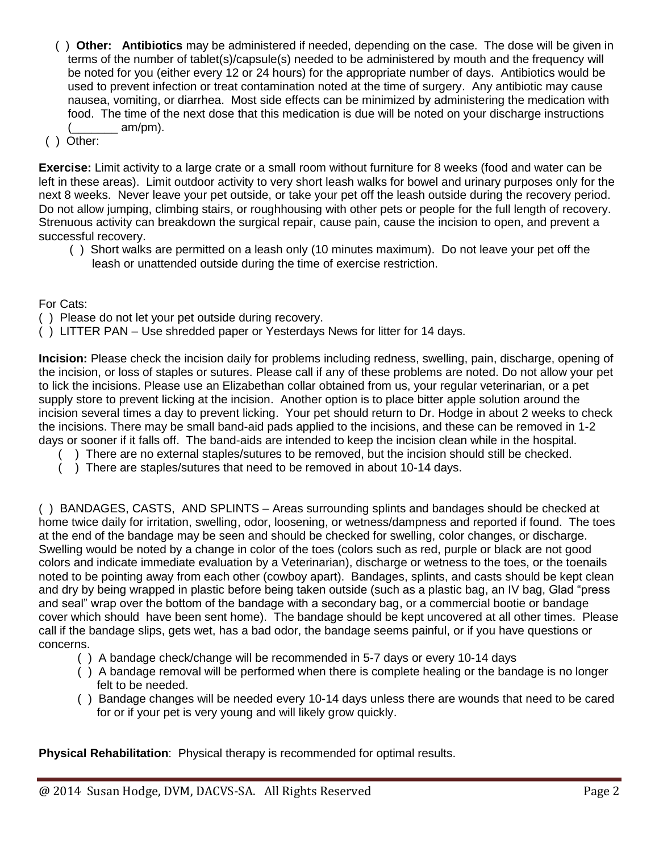- ( ) **Other: Antibiotics** may be administered if needed, depending on the case. The dose will be given in terms of the number of tablet(s)/capsule(s) needed to be administered by mouth and the frequency will be noted for you (either every 12 or 24 hours) for the appropriate number of days. Antibiotics would be used to prevent infection or treat contamination noted at the time of surgery. Any antibiotic may cause nausea, vomiting, or diarrhea. Most side effects can be minimized by administering the medication with food. The time of the next dose that this medication is due will be noted on your discharge instructions am/pm).
- ( ) Other:

**Exercise:** Limit activity to a large crate or a small room without furniture for 8 weeks (food and water can be left in these areas). Limit outdoor activity to very short leash walks for bowel and urinary purposes only for the next 8 weeks. Never leave your pet outside, or take your pet off the leash outside during the recovery period. Do not allow jumping, climbing stairs, or roughhousing with other pets or people for the full length of recovery. Strenuous activity can breakdown the surgical repair, cause pain, cause the incision to open, and prevent a successful recovery.

 ( ) Short walks are permitted on a leash only (10 minutes maximum). Do not leave your pet off the leash or unattended outside during the time of exercise restriction.

For Cats:

- ( ) Please do not let your pet outside during recovery.
- ( ) LITTER PAN Use shredded paper or Yesterdays News for litter for 14 days.

**Incision:** Please check the incision daily for problems including redness, swelling, pain, discharge, opening of the incision, or loss of staples or sutures. Please call if any of these problems are noted. Do not allow your pet to lick the incisions. Please use an Elizabethan collar obtained from us, your regular veterinarian, or a pet supply store to prevent licking at the incision. Another option is to place bitter apple solution around the incision several times a day to prevent licking. Your pet should return to Dr. Hodge in about 2 weeks to check the incisions. There may be small band-aid pads applied to the incisions, and these can be removed in 1-2 days or sooner if it falls off. The band-aids are intended to keep the incision clean while in the hospital.

- ( ) There are no external staples/sutures to be removed, but the incision should still be checked.
- ( ) There are staples/sutures that need to be removed in about 10-14 days.

( ) BANDAGES, CASTS, AND SPLINTS – Areas surrounding splints and bandages should be checked at home twice daily for irritation, swelling, odor, loosening, or wetness/dampness and reported if found. The toes at the end of the bandage may be seen and should be checked for swelling, color changes, or discharge. Swelling would be noted by a change in color of the toes (colors such as red, purple or black are not good colors and indicate immediate evaluation by a Veterinarian), discharge or wetness to the toes, or the toenails noted to be pointing away from each other (cowboy apart). Bandages, splints, and casts should be kept clean and dry by being wrapped in plastic before being taken outside (such as a plastic bag, an IV bag, Glad "press and seal" wrap over the bottom of the bandage with a secondary bag, or a commercial bootie or bandage cover which should have been sent home). The bandage should be kept uncovered at all other times. Please call if the bandage slips, gets wet, has a bad odor, the bandage seems painful, or if you have questions or concerns.

- ( ) A bandage check/change will be recommended in 5-7 days or every 10-14 days
- ( ) A bandage removal will be performed when there is complete healing or the bandage is no longer felt to be needed.
- ( ) Bandage changes will be needed every 10-14 days unless there are wounds that need to be cared for or if your pet is very young and will likely grow quickly.

**Physical Rehabilitation**: Physical therapy is recommended for optimal results.